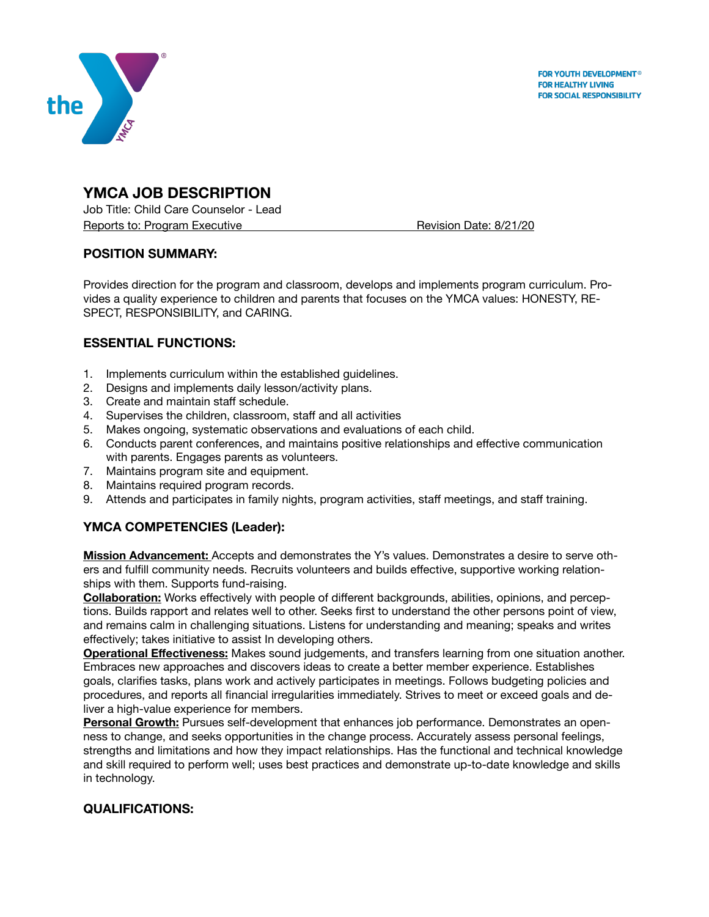



# **YMCA JOB DESCRIPTION**

Job Title: Child Care Counselor - Lead Reports to: Program Executive **Branch Executive Reports to: Program Executive Revision Date: 8/21/20** 

## **POSITION SUMMARY:**

Provides direction for the program and classroom, develops and implements program curriculum. Provides a quality experience to children and parents that focuses on the YMCA values: HONESTY, RE-SPECT, RESPONSIBILITY, and CARING.

## **ESSENTIAL FUNCTIONS:**

- 1. Implements curriculum within the established guidelines.
- 2. Designs and implements daily lesson/activity plans.
- 3. Create and maintain staff schedule.
- 4. Supervises the children, classroom, staff and all activities
- 5. Makes ongoing, systematic observations and evaluations of each child.
- 6. Conducts parent conferences, and maintains positive relationships and effective communication with parents. Engages parents as volunteers.
- 7. Maintains program site and equipment.
- 8. Maintains required program records.
- 9. Attends and participates in family nights, program activities, staff meetings, and staff training.

## **YMCA COMPETENCIES (Leader):**

**Mission Advancement:** Accepts and demonstrates the Y's values. Demonstrates a desire to serve others and fulfill community needs. Recruits volunteers and builds effective, supportive working relationships with them. Supports fund-raising.

**Collaboration:** Works effectively with people of different backgrounds, abilities, opinions, and perceptions. Builds rapport and relates well to other. Seeks first to understand the other persons point of view, and remains calm in challenging situations. Listens for understanding and meaning; speaks and writes effectively; takes initiative to assist In developing others.

**Operational Effectiveness:** Makes sound judgements, and transfers learning from one situation another. Embraces new approaches and discovers ideas to create a better member experience. Establishes goals, clarifies tasks, plans work and actively participates in meetings. Follows budgeting policies and procedures, and reports all financial irregularities immediately. Strives to meet or exceed goals and deliver a high-value experience for members.

**Personal Growth:** Pursues self-development that enhances job performance. Demonstrates an openness to change, and seeks opportunities in the change process. Accurately assess personal feelings, strengths and limitations and how they impact relationships. Has the functional and technical knowledge and skill required to perform well; uses best practices and demonstrate up-to-date knowledge and skills in technology.

## **QUALIFICATIONS:**